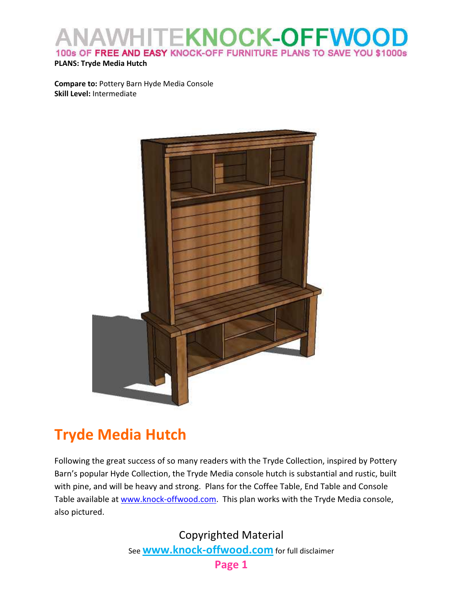### **KNOCK-OFFWOO**  $\|$   $\|$ 100s OF FREE AND EASY KNOCK-OFF FURNITURE PLANS TO SAVE YOU \$1000s

#### PLANS: Tryde Media Hutch

Compare to: Pottery Barn Hyde Media Console Skill Level: Intermediate



# Tryde Media Hutch

Following the great success of so many readers with the Tryde Collection, inspired by Pottery Barn's popular Hyde Collection, the Tryde Media console hutch is substantial and rustic, built with pine, and will be heavy and strong. Plans for the Coffee Table, End Table and Console Table available at www.knock-offwood.com. This plan works with the Tryde Media console, also pictured.

> Copyrighted Material See **www.knock-offwood.com** for full disclaimer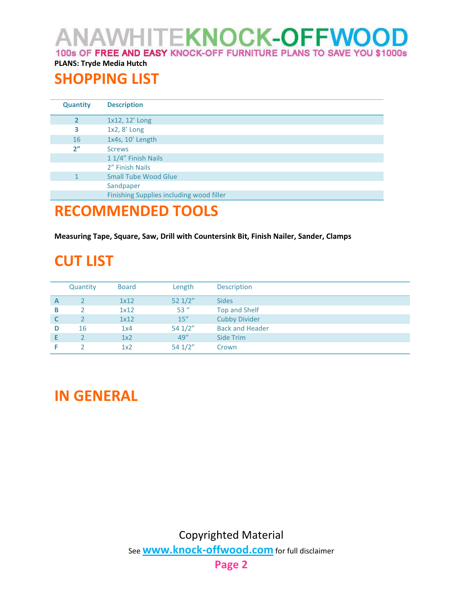ANAWHITE**KNOCK-OFFWOOD** 100s OF FREE AND EASY KNOCK-OFF FURNITURE PLANS TO SAVE YOU \$1000s

### PLANS: Tryde Media Hutch

## SHOPPING LIST

| <b>Quantity</b> | <b>Description</b>                       |  |  |
|-----------------|------------------------------------------|--|--|
| $\overline{2}$  | 1x12, 12' Long                           |  |  |
| 3               | 1x2, 8' Long                             |  |  |
| 16              | 1x4s, 10' Length                         |  |  |
| 2 <sup>n</sup>  | <b>Screws</b>                            |  |  |
|                 | 1 1/4" Finish Nails                      |  |  |
|                 | 2" Finish Nails                          |  |  |
|                 | <b>Small Tube Wood Glue</b>              |  |  |
|                 | Sandpaper                                |  |  |
|                 | Finishing Supplies including wood filler |  |  |

### RECOMMENDED TOOLS

Measuring Tape, Square, Saw, Drill with Countersink Bit, Finish Nailer, Sander, Clamps

# CUT LIST

|   | Quantity | <b>Board</b> | Length           | Description            |
|---|----------|--------------|------------------|------------------------|
| A |          | 1x12         | $52 \frac{1}{2}$ | <b>Sides</b>           |
| в |          | 1x12         | $53$ "           | Top and Shelf          |
| C |          | 1x12         | 15''             | <b>Cubby Divider</b>   |
| D | 16       | 1x4          | 541/2"           | <b>Back and Header</b> |
|   |          | 1x2          | 49''             | Side Trim              |
|   |          | 1x2          | $54 \frac{1}{2}$ | Crown                  |

# IN GENERAL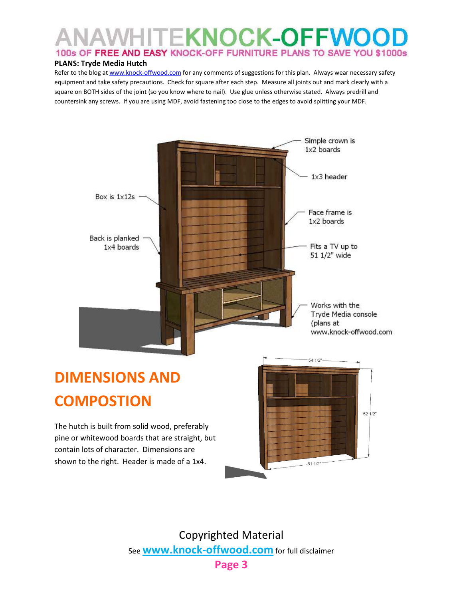## **VHITEKNOCK-OFFWOO** 100s OF FREE AND EASY KNOCK-OFF FURNITURE PLANS TO SAVE YOU \$1000s

#### PLANS: Tryde Media Hutch

Refer to the blog at www.knock-offwood.com for any comments of suggestions for this plan. Always wear necessary safety equipment and take safety precautions. Check for square after each step. Measure all joints out and mark clearly with a square on BOTH sides of the joint (so you know where to nail). Use glue unless otherwise stated. Always predrill and countersink any screws. If you are using MDF, avoid fastening too close to the edges to avoid splitting your MDF.



Copyrighted Material See **www.knock-offwood.com** for full disclaimer

Page 3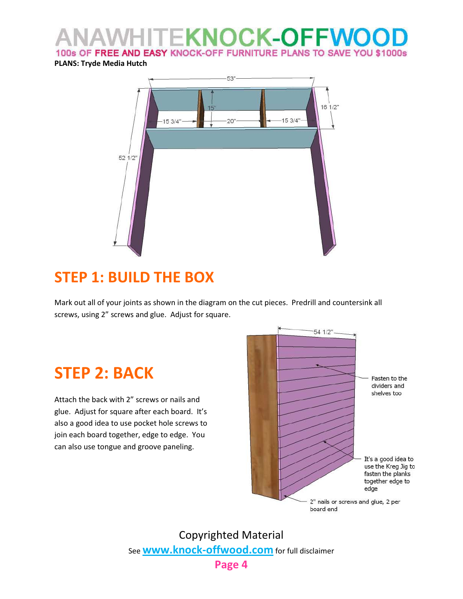### **TEKNOCK-OFFWO** 100s OF FREE AND EASY KNOCK-OFF FURNITURE PLANS TO SAVE YOU \$1000s

PLANS: Tryde Media Hutch



# STEP 1: BUILD THE BOX

Mark out all of your joints as shown in the diagram on the cut pieces. Predrill and countersink all screws, using 2" screws and glue. Adjust for square.

# STEP 2: BACK

Attach the back with 2" screws or nails and glue. Adjust for square after each board. It's also a good idea to use pocket hole screws to join each board together, edge to edge. You can also use tongue and groove paneling.



Copyrighted Material See **www.knock-offwood.com** for full disclaimer Page 4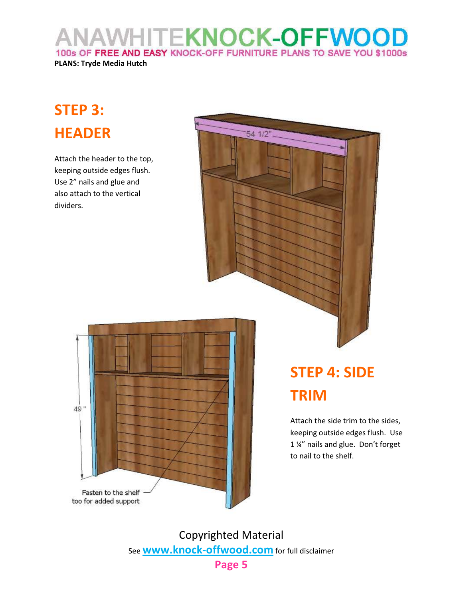**NAWHITEKNOCK-OFFWOO** 100s OF FREE AND EASY KNOCK-OFF FURNITURE PLANS TO SAVE YOU \$1000s

### PLANS: Tryde Media Hutch

# STEP 3: HEADER

Attach the header to the top, keeping outside edges flush. Use 2" nails and glue and also attach to the vertical dividers.





# STEP 4: SIDE TRIM

Attach the side trim to the sides, keeping outside edges flush. Use 1 ¼" nails and glue. Don't forget to nail to the shelf.

Copyrighted Material See **www.knock-offwood.com** for full disclaimer

Page 5